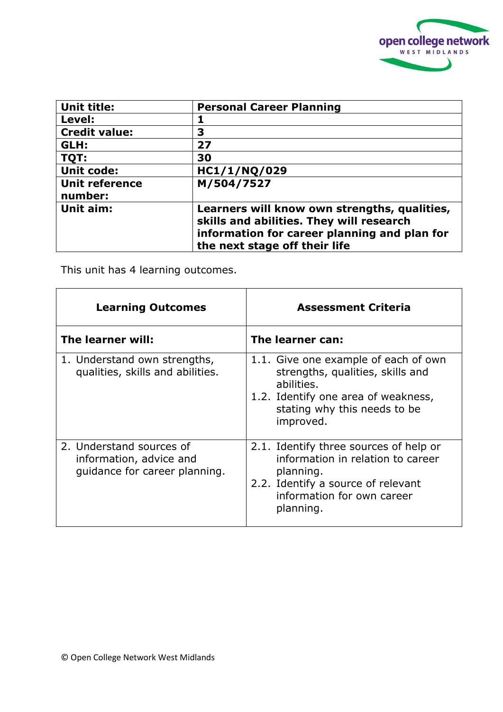

| <b>Unit title:</b>               | <b>Personal Career Planning</b>                                                                                                                                           |
|----------------------------------|---------------------------------------------------------------------------------------------------------------------------------------------------------------------------|
| Level:                           |                                                                                                                                                                           |
| <b>Credit value:</b>             | 3                                                                                                                                                                         |
| GLH:                             | 27                                                                                                                                                                        |
| TQT:                             | 30                                                                                                                                                                        |
| <b>Unit code:</b>                | HC1/1/NQ/029                                                                                                                                                              |
| <b>Unit reference</b><br>number: | M/504/7527                                                                                                                                                                |
| Unit aim:                        | Learners will know own strengths, qualities,<br>skills and abilities. They will research<br>information for career planning and plan for<br>the next stage off their life |

This unit has 4 learning outcomes.

| <b>Learning Outcomes</b>                                                             | <b>Assessment Criteria</b>                                                                                                                                                 |
|--------------------------------------------------------------------------------------|----------------------------------------------------------------------------------------------------------------------------------------------------------------------------|
| The learner will:                                                                    | The learner can:                                                                                                                                                           |
| 1. Understand own strengths,<br>qualities, skills and abilities.                     | 1.1. Give one example of each of own<br>strengths, qualities, skills and<br>abilities.<br>1.2. Identify one area of weakness,<br>stating why this needs to be<br>improved. |
| 2. Understand sources of<br>information, advice and<br>quidance for career planning. | 2.1. Identify three sources of help or<br>information in relation to career<br>planning.<br>2.2. Identify a source of relevant<br>information for own career<br>planning.  |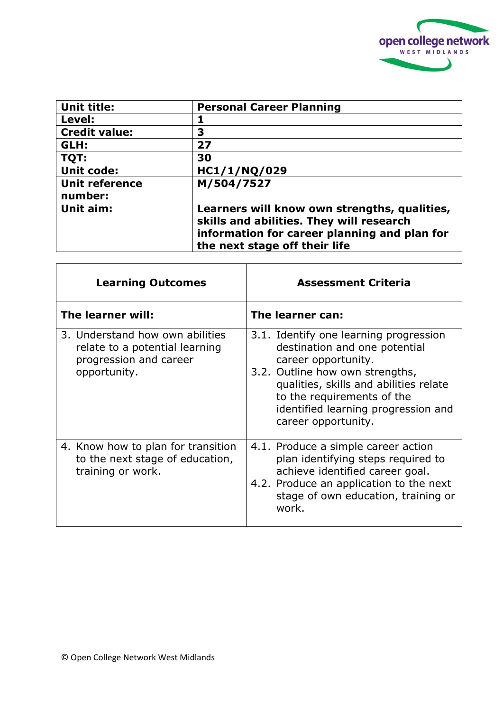

| <b>Unit title:</b>               | <b>Personal Career Planning</b>                                                                                                                                           |
|----------------------------------|---------------------------------------------------------------------------------------------------------------------------------------------------------------------------|
| Level:                           |                                                                                                                                                                           |
| <b>Credit value:</b>             | 3                                                                                                                                                                         |
| GLH:                             | 27                                                                                                                                                                        |
| TQT:                             | 30                                                                                                                                                                        |
| <b>Unit code:</b>                | HC1/1/NQ/029                                                                                                                                                              |
| <b>Unit reference</b><br>number: | M/504/7527                                                                                                                                                                |
| Unit aim:                        | Learners will know own strengths, qualities,<br>skills and abilities. They will research<br>information for career planning and plan for<br>the next stage off their life |

| <b>Learning Outcomes</b>                                                                                    | <b>Assessment Criteria</b>                                                                                                                                                                                                                                              |
|-------------------------------------------------------------------------------------------------------------|-------------------------------------------------------------------------------------------------------------------------------------------------------------------------------------------------------------------------------------------------------------------------|
| The learner will:                                                                                           | The learner can:                                                                                                                                                                                                                                                        |
| 3. Understand how own abilities<br>relate to a potential learning<br>progression and career<br>opportunity. | 3.1. Identify one learning progression<br>destination and one potential<br>career opportunity.<br>3.2. Outline how own strengths,<br>qualities, skills and abilities relate<br>to the requirements of the<br>identified learning progression and<br>career opportunity. |
| 4. Know how to plan for transition<br>to the next stage of education,<br>training or work.                  | 4.1. Produce a simple career action<br>plan identifying steps required to<br>achieve identified career goal.<br>4.2. Produce an application to the next<br>stage of own education, training or<br>work.                                                                 |